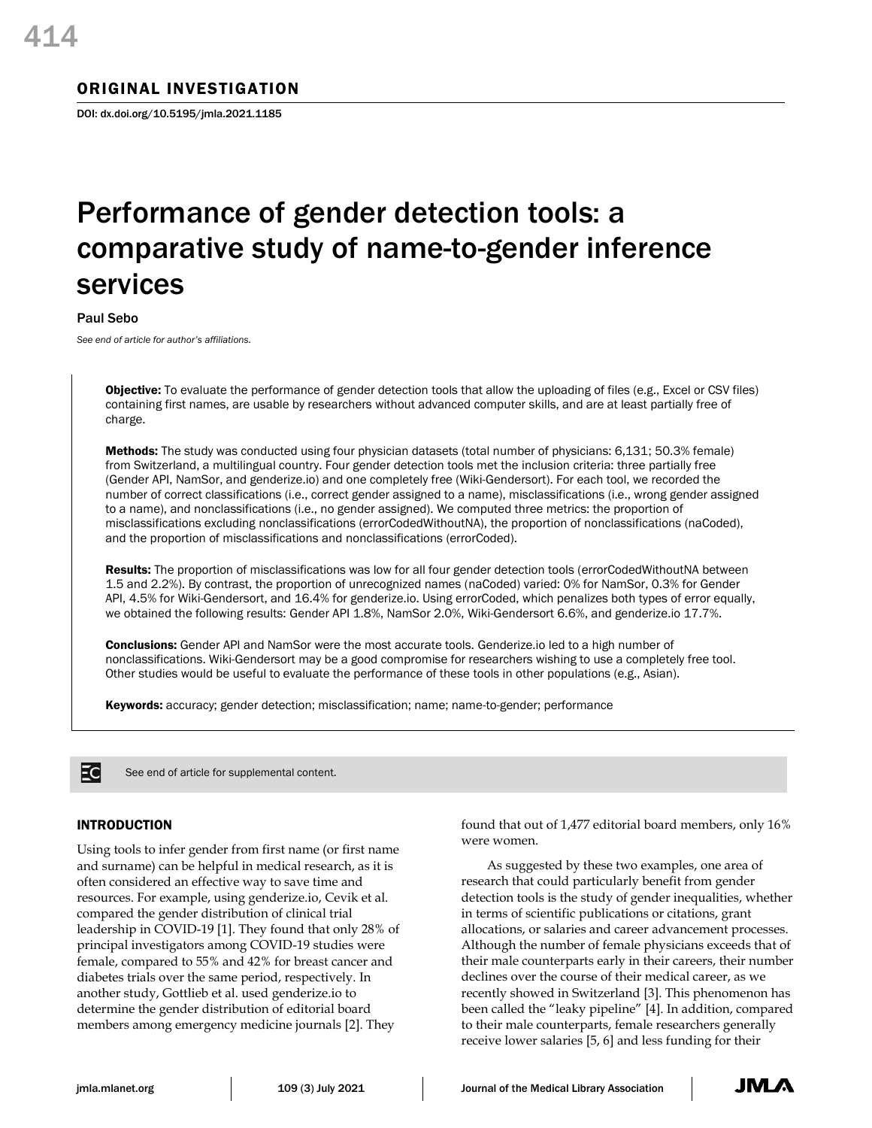# ORIGINAL INVESTIGATION

DOI: dx.doi.org/10.5195/jmla.2021.1185

# Performance of gender detection tools: a comparative study of name-to-gender inference services

Paul Sebo

*See end of article for author's affiliations.*

Objective: To evaluate the performance of gender detection tools that allow the uploading of files (e.g., Excel or CSV files) containing first names, are usable by researchers without advanced computer skills, and are at least partially free of charge.

Methods: The study was conducted using four physician datasets (total number of physicians: 6,131; 50.3% female) from Switzerland, a multilingual country. Four gender detection tools met the inclusion criteria: three partially free (Gender API, NamSor, and genderize.io) and one completely free (Wiki-Gendersort). For each tool, we recorded the number of correct classifications (i.e., correct gender assigned to a name), misclassifications (i.e., wrong gender assigned to a name), and nonclassifications (i.e., no gender assigned). We computed three metrics: the proportion of misclassifications excluding nonclassifications (errorCodedWithoutNA), the proportion of nonclassifications (naCoded), and the proportion of misclassifications and nonclassifications (errorCoded).

Results: The proportion of misclassifications was low for all four gender detection tools (errorCodedWithoutNA between 1.5 and 2.2%). By contrast, the proportion of unrecognized names (naCoded) varied: 0% for NamSor, 0.3% for Gender API, 4.5% for Wiki-Gendersort, and 16.4% for genderize.io. Using errorCoded, which penalizes both types of error equally, we obtained the following results: Gender API 1.8%, NamSor 2.0%, Wiki-Gendersort 6.6%, and genderize.io 17.7%.

**Conclusions:** Gender API and NamSor were the most accurate tools. Genderize. io led to a high number of nonclassifications. Wiki-Gendersort may be a good compromise for researchers wishing to use a completely free tool. Other studies would be useful to evaluate the performance of these tools in other populations (e.g., Asian).

Keywords: accuracy; gender detection; misclassification; name; name-to-gender; performance



See end of article for supplemental content.

### INTRODUCTION

Using tools to infer gender from first name (or first name and surname) can be helpful in medical research, as it is often considered an effective way to save time and resources. For example, using genderize.io, Cevik et al. compared the gender distribution of clinical trial leadership in COVID-19 [1]. They found that only 28% of principal investigators among COVID-19 studies were female, compared to 55% and 42% for breast cancer and diabetes trials over the same period, respectively. In another study, Gottlieb et al. used genderize.io to determine the gender distribution of editorial board members among emergency medicine journals [2]. They

found that out of 1,477 editorial board members, only 16% were women.

As suggested by these two examples, one area of research that could particularly benefit from gender detection tools is the study of gender inequalities, whether in terms of scientific publications or citations, grant allocations, or salaries and career advancement processes. Although the number of female physicians exceeds that of their male counterparts early in their careers, their number declines over the course of their medical career, as we recently showed in Switzerland [3]. This phenomenon has been called the "leaky pipeline" [4]. In addition, compared to their male counterparts, female researchers generally receive lower salaries [5, 6] and less funding for their

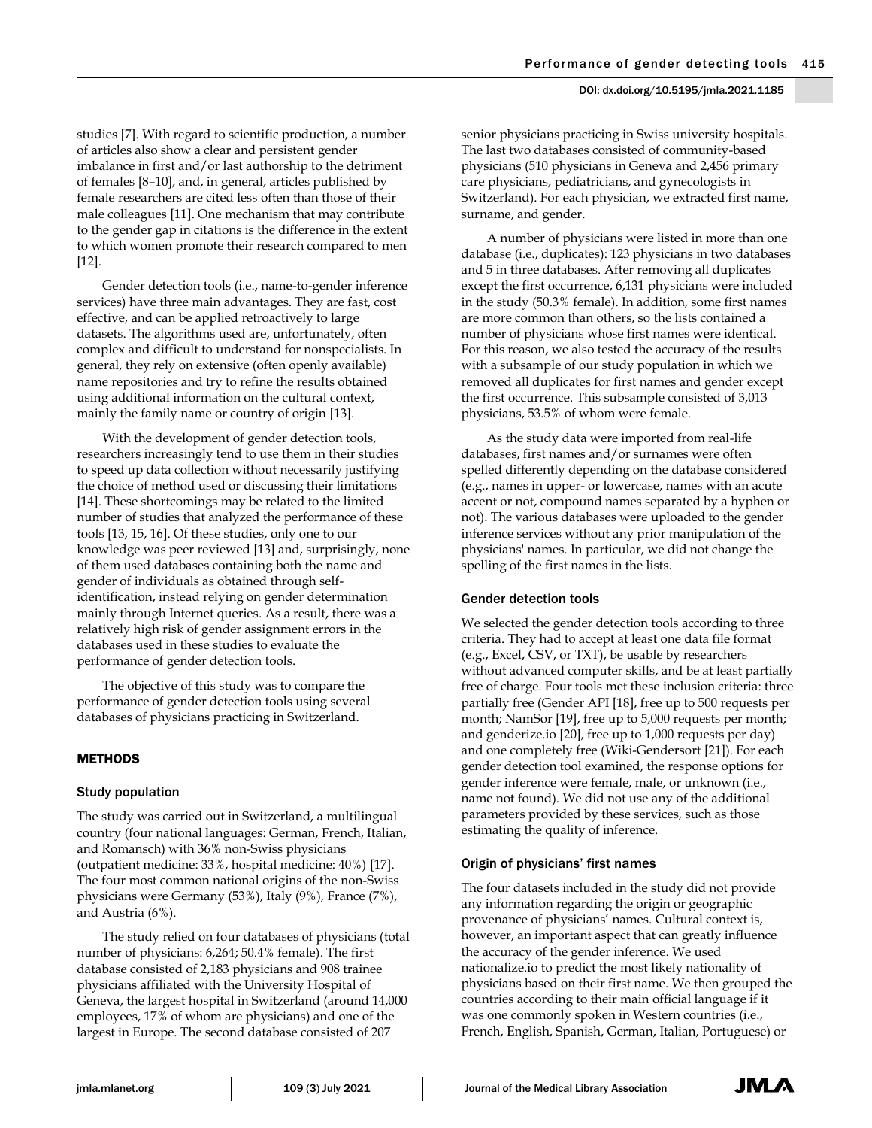studies [7]. With regard to scientific production, a number of articles also show a clear and persistent gender imbalance in first and/or last authorship to the detriment of females [8–10], and, in general, articles published by female researchers are cited less often than those of their male colleagues [11]. One mechanism that may contribute to the gender gap in citations is the difference in the extent to which women promote their research compared to men [12].

Gender detection tools (i.e., name-to-gender inference services) have three main advantages. They are fast, cost effective, and can be applied retroactively to large datasets. The algorithms used are, unfortunately, often complex and difficult to understand for nonspecialists. In general, they rely on extensive (often openly available) name repositories and try to refine the results obtained using additional information on the cultural context, mainly the family name or country of origin [13].

With the development of gender detection tools, researchers increasingly tend to use them in their studies to speed up data collection without necessarily justifying the choice of method used or discussing their limitations [14]. These shortcomings may be related to the limited number of studies that analyzed the performance of these tools [13, 15, 16]. Of these studies, only one to our knowledge was peer reviewed [13] and, surprisingly, none of them used databases containing both the name and gender of individuals as obtained through selfidentification, instead relying on gender determination mainly through Internet queries. As a result, there was a relatively high risk of gender assignment errors in the databases used in these studies to evaluate the performance of gender detection tools.

The objective of this study was to compare the performance of gender detection tools using several databases of physicians practicing in Switzerland.

# METHODS

#### Study population

The study was carried out in Switzerland, a multilingual country (four national languages: German, French, Italian, and Romansch) with 36% non-Swiss physicians (outpatient medicine: 33%, hospital medicine: 40%) [17]. The four most common national origins of the non-Swiss physicians were Germany (53%), Italy (9%), France (7%), and Austria (6%).

The study relied on four databases of physicians (total number of physicians: 6,264; 50.4% female). The first database consisted of 2,183 physicians and 908 trainee physicians affiliated with the University Hospital of Geneva, the largest hospital in Switzerland (around 14,000 employees, 17% of whom are physicians) and one of the largest in Europe. The second database consisted of 207

senior physicians practicing in Swiss university hospitals. The last two databases consisted of community-based physicians (510 physicians in Geneva and 2,456 primary care physicians, pediatricians, and gynecologists in Switzerland). For each physician, we extracted first name, surname, and gender.

A number of physicians were listed in more than one database (i.e., duplicates): 123 physicians in two databases and 5 in three databases. After removing all duplicates except the first occurrence, 6,131 physicians were included in the study (50.3% female). In addition, some first names are more common than others, so the lists contained a number of physicians whose first names were identical. For this reason, we also tested the accuracy of the results with a subsample of our study population in which we removed all duplicates for first names and gender except the first occurrence. This subsample consisted of 3,013 physicians, 53.5% of whom were female.

As the study data were imported from real-life databases, first names and/or surnames were often spelled differently depending on the database considered (e.g., names in upper- or lowercase, names with an acute accent or not, compound names separated by a hyphen or not). The various databases were uploaded to the gender inference services without any prior manipulation of the physicians' names. In particular, we did not change the spelling of the first names in the lists.

#### Gender detection tools

We selected the gender detection tools according to three criteria. They had to accept at least one data file format (e.g., Excel, CSV, or TXT), be usable by researchers without advanced computer skills, and be at least partially free of charge. Four tools met these inclusion criteria: three partially free (Gender API [18], free up to 500 requests per month; NamSor [19], free up to 5,000 requests per month; and genderize.io [20], free up to 1,000 requests per day) and one completely free (Wiki-Gendersort [21]). For each gender detection tool examined, the response options for gender inference were female, male, or unknown (i.e., name not found). We did not use any of the additional parameters provided by these services, such as those estimating the quality of inference.

#### Origin of physicians' first names

The four datasets included in the study did not provide any information regarding the origin or geographic provenance of physicians' names. Cultural context is, however, an important aspect that can greatly influence the accuracy of the gender inference. We used nationalize.io to predict the most likely nationality of physicians based on their first name. We then grouped the countries according to their main official language if it was one commonly spoken in Western countries (i.e., French, English, Spanish, German, Italian, Portuguese) or

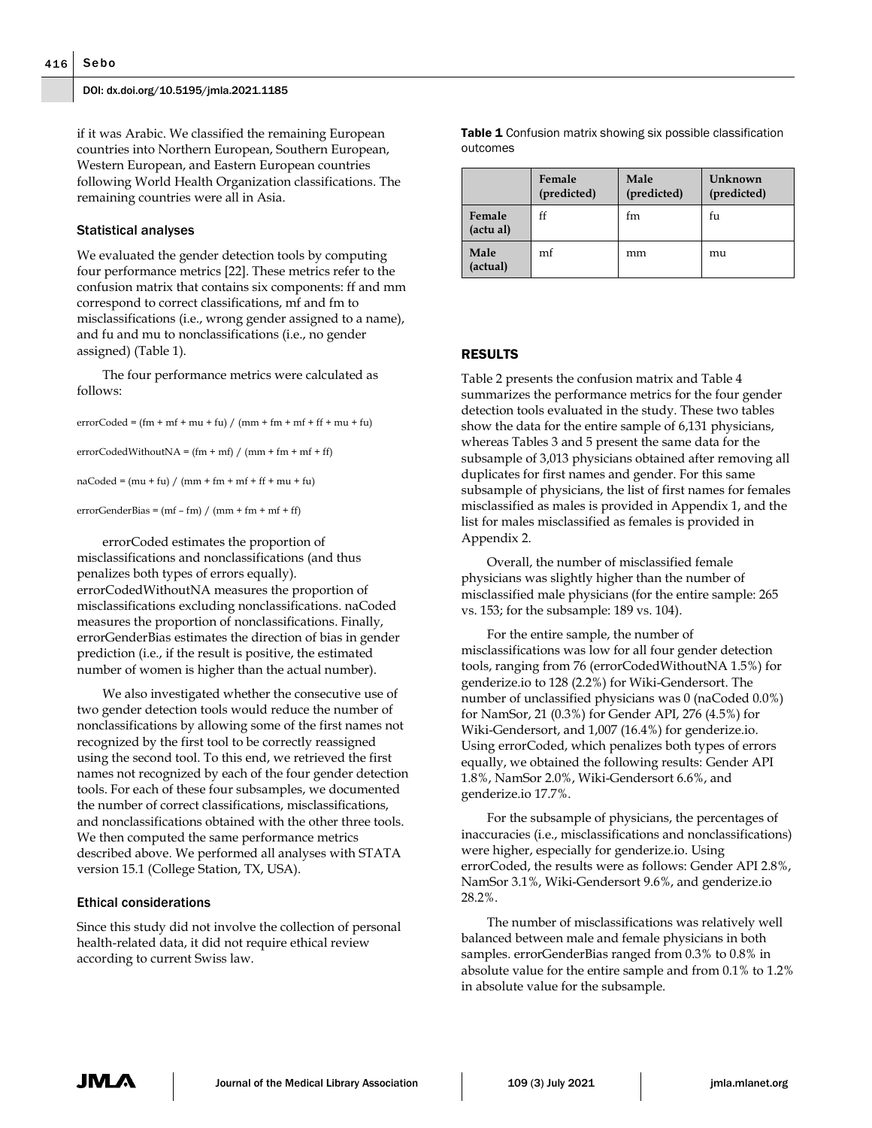if it was Arabic. We classified the remaining European countries into Northern European, Southern European, Western European, and Eastern European countries following World Health Organization classifications. The remaining countries were all in Asia.

#### Statistical analyses

We evaluated the gender detection tools by computing four performance metrics [22]. These metrics refer to the confusion matrix that contains six components: ff and mm correspond to correct classifications, mf and fm to misclassifications (i.e., wrong gender assigned to a name), and fu and mu to nonclassifications (i.e., no gender assigned) (Table 1).

The four performance metrics were calculated as follows:

 $errorCode = (fm + mf + mu + fu) / (mm + fm + mf + ff + mu + fu)$ 

 $errorCodedWithoutNA = (fm + mf) / (mm + fm + mf + ff)$ 

 $naCoded = (mu + fu) / (mm + fm + mf + ff + mu + fu)$ 

 $errorGenderBias = (mf - fm) / (mm + fm + mf + ff)$ 

errorCoded estimates the proportion of misclassifications and nonclassifications (and thus penalizes both types of errors equally). errorCodedWithoutNA measures the proportion of misclassifications excluding nonclassifications. naCoded measures the proportion of nonclassifications. Finally, errorGenderBias estimates the direction of bias in gender prediction (i.e., if the result is positive, the estimated number of women is higher than the actual number).

We also investigated whether the consecutive use of two gender detection tools would reduce the number of nonclassifications by allowing some of the first names not recognized by the first tool to be correctly reassigned using the second tool. To this end, we retrieved the first names not recognized by each of the four gender detection tools. For each of these four subsamples, we documented the number of correct classifications, misclassifications, and nonclassifications obtained with the other three tools. We then computed the same performance metrics described above. We performed all analyses with STATA version 15.1 (College Station, TX, USA).

#### Ethical considerations

Since this study did not involve the collection of personal health-related data, it did not require ethical review according to current Swiss law.

**Table 1** Confusion matrix showing six possible classification outcomes

|                     | Female<br>(predicted) | Male<br>(predicted) | Unknown<br>(predicted) |
|---------------------|-----------------------|---------------------|------------------------|
| Female<br>(actu al) | ff                    | tm                  | fи                     |
| Male<br>(actual)    | mf                    | mm                  | mu                     |

#### RESULTS

Table 2 presents the confusion matrix and Table 4 summarizes the performance metrics for the four gender detection tools evaluated in the study. These two tables show the data for the entire sample of 6,131 physicians, whereas Tables 3 and 5 present the same data for the subsample of 3,013 physicians obtained after removing all duplicates for first names and gender. For this same subsample of physicians, the list of first names for females misclassified as males is provided in Appendix 1, and the list for males misclassified as females is provided in Appendix 2.

Overall, the number of misclassified female physicians was slightly higher than the number of misclassified male physicians (for the entire sample: 265 vs. 153; for the subsample: 189 vs. 104).

For the entire sample, the number of misclassifications was low for all four gender detection tools, ranging from 76 (errorCodedWithoutNA 1.5%) for genderize.io to 128 (2.2%) for Wiki-Gendersort. The number of unclassified physicians was 0 (naCoded 0.0%) for NamSor, 21 (0.3%) for Gender API, 276 (4.5%) for Wiki-Gendersort, and 1,007 (16.4%) for genderize.io. Using errorCoded, which penalizes both types of errors equally, we obtained the following results: Gender API 1.8%, NamSor 2.0%, Wiki-Gendersort 6.6%, and genderize.io 17.7%.

For the subsample of physicians, the percentages of inaccuracies (i.e., misclassifications and nonclassifications) were higher, especially for genderize.io. Using errorCoded, the results were as follows: Gender API 2.8%, NamSor 3.1%, Wiki-Gendersort 9.6%, and genderize.io 28.2%.

The number of misclassifications was relatively well balanced between male and female physicians in both samples. errorGenderBias ranged from 0.3% to 0.8% in absolute value for the entire sample and from 0.1% to 1.2% in absolute value for the subsample.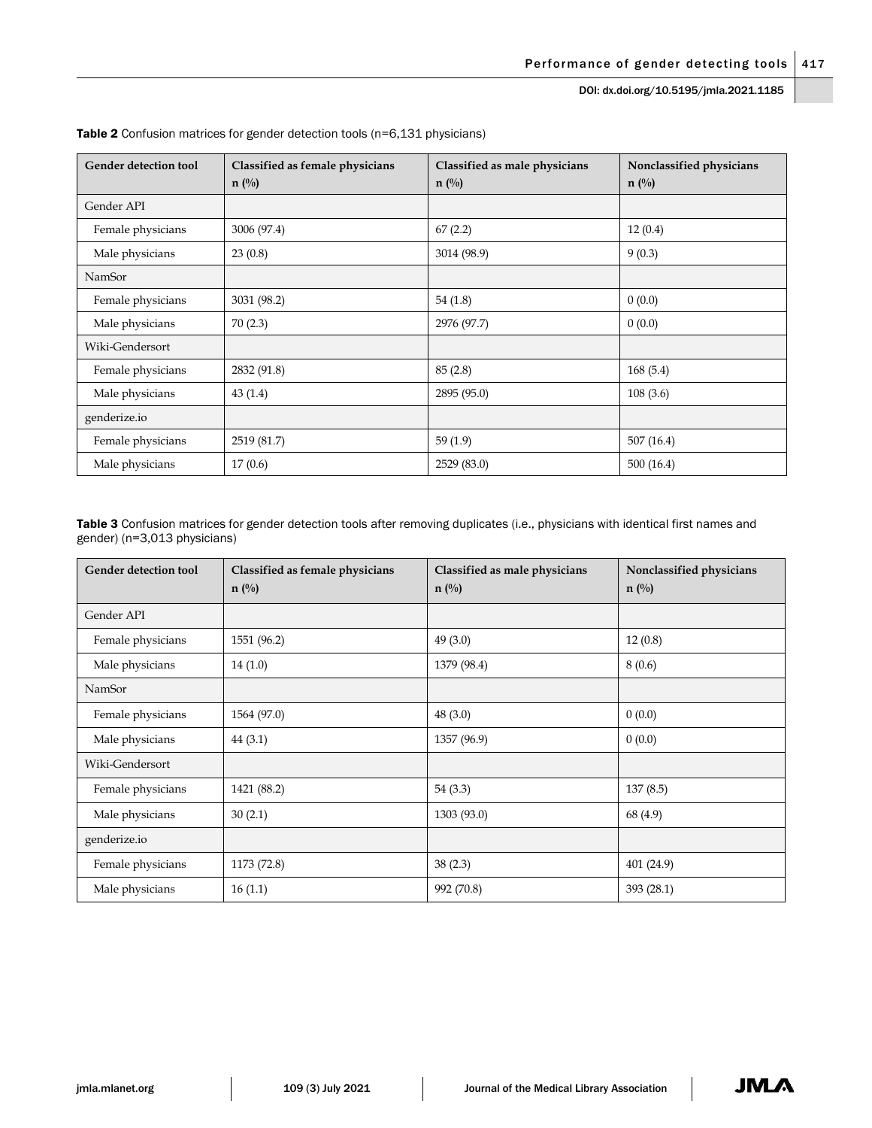DOI: dx.doi.org/10.5195/jmla.2021.1185

| <b>Gender detection tool</b> | Classified as female physicians<br>$n(^{0}/_{0})$ | Classified as male physicians<br>$n(^{0}/_{0})$ | Nonclassified physicians<br>$n(^{0}/_{0})$ |
|------------------------------|---------------------------------------------------|-------------------------------------------------|--------------------------------------------|
| Gender API                   |                                                   |                                                 |                                            |
| Female physicians            | 3006 (97.4)                                       | 67(2.2)                                         | 12(0.4)                                    |
| Male physicians              | 23(0.8)                                           | 3014 (98.9)                                     | 9(0.3)                                     |
| NamSor                       |                                                   |                                                 |                                            |
| Female physicians            | 3031 (98.2)                                       | 54(1.8)                                         | 0(0.0)                                     |
| Male physicians              | 70(2.3)                                           | 2976 (97.7)                                     | 0(0.0)                                     |
| Wiki-Gendersort              |                                                   |                                                 |                                            |
| Female physicians            | 2832 (91.8)                                       | 85(2.8)                                         | 168(5.4)                                   |
| Male physicians              | 43(1.4)                                           | 2895 (95.0)                                     | 108(3.6)                                   |
| genderize.io                 |                                                   |                                                 |                                            |
| Female physicians            | 2519 (81.7)                                       | 59(1.9)                                         | 507 (16.4)                                 |
| Male physicians              | 17(0.6)                                           | 2529 (83.0)                                     | 500 (16.4)                                 |

Table 2 Confusion matrices for gender detection tools (n=6,131 physicians)

Table 3 Confusion matrices for gender detection tools after removing duplicates (i.e., physicians with identical first names and gender) (n=3,013 physicians)

| Gender detection tool | Classified as female physicians<br>$n(^{0}/_{0})$ | Classified as male physicians<br>$n(^{0}/_{0})$ | Nonclassified physicians<br>$n(^{0}/_{0})$ |
|-----------------------|---------------------------------------------------|-------------------------------------------------|--------------------------------------------|
| Gender API            |                                                   |                                                 |                                            |
| Female physicians     | 1551 (96.2)                                       | 49(3.0)                                         | 12(0.8)                                    |
| Male physicians       | 14(1.0)                                           | 1379 (98.4)                                     | 8(0.6)                                     |
| NamSor                |                                                   |                                                 |                                            |
| Female physicians     | 1564 (97.0)                                       | 48(3.0)                                         | 0(0.0)                                     |
| Male physicians       | 44(3.1)                                           | 1357 (96.9)                                     | 0(0.0)                                     |
| Wiki-Gendersort       |                                                   |                                                 |                                            |
| Female physicians     | 1421 (88.2)                                       | 54(3.3)                                         | 137(8.5)                                   |
| Male physicians       | 30(2.1)                                           | 1303 (93.0)                                     | 68 (4.9)                                   |
| genderize.io          |                                                   |                                                 |                                            |
| Female physicians     | 1173 (72.8)                                       | 38(2.3)                                         | 401 (24.9)                                 |
| Male physicians       | 16(1.1)                                           | 992 (70.8)                                      | 393 (28.1)                                 |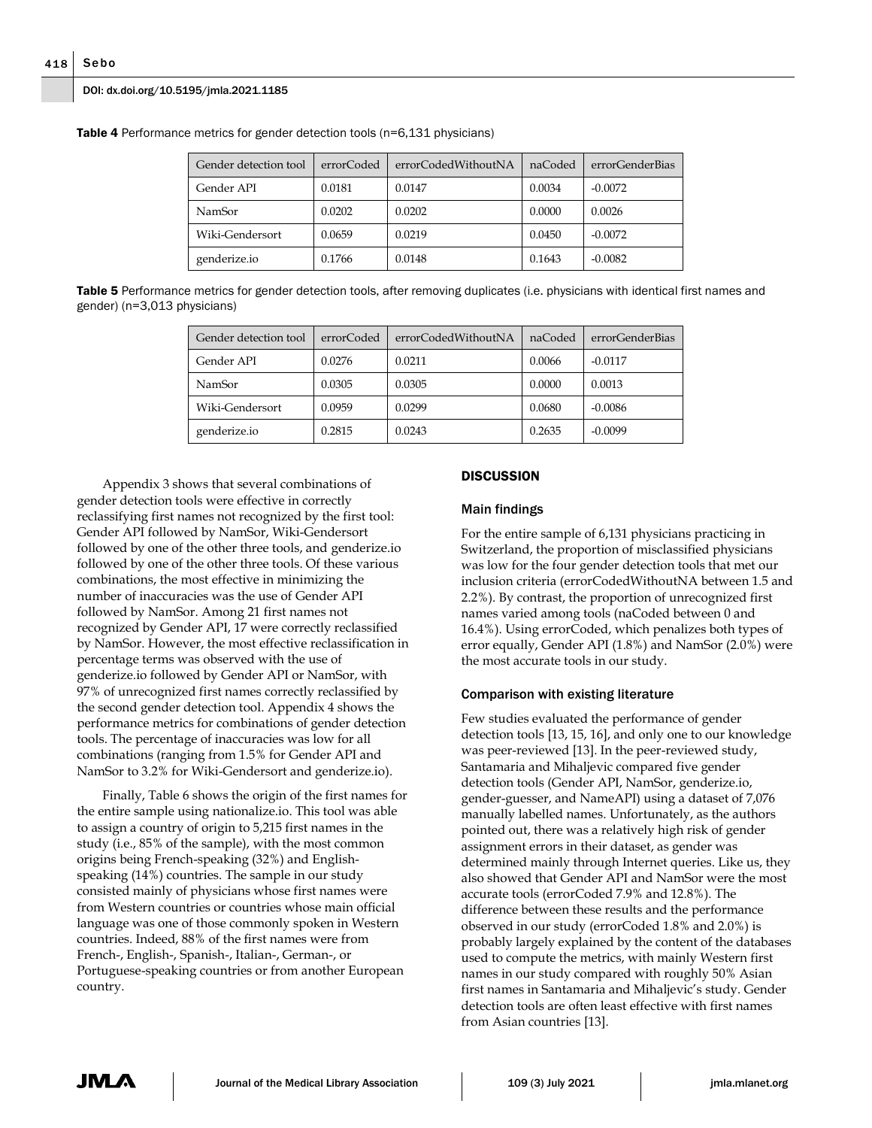#### DOI: dx.doi.org/10.5195/jmla.2021.1185

| Gender detection tool | errorCoded | errorCodedWithoutNA | naCoded | errorGenderBias |
|-----------------------|------------|---------------------|---------|-----------------|
| Gender API            | 0.0181     | 0.0147              | 0.0034  | $-0.0072$       |
| NamSor                | 0.0202     | 0.0202              | 0.0000  | 0.0026          |
| Wiki-Gendersort       | 0.0659     | 0.0219              | 0.0450  | $-0.0072$       |
| genderize.io          | 0.1766     | 0.0148              | 0.1643  | $-0.0082$       |

**Table 4** Performance metrics for gender detection tools (n=6,131 physicians)

**Table 5** Performance metrics for gender detection tools, after removing duplicates (i.e. physicians with identical first names and gender) (n=3,013 physicians)

| Gender detection tool | errorCoded | errorCodedWithoutNA | naCoded | errorGenderBias |
|-----------------------|------------|---------------------|---------|-----------------|
| Gender API            | 0.0276     | 0.0211              | 0.0066  | $-0.0117$       |
| NamSor                | 0.0305     | 0.0305              | 0.0000  | 0.0013          |
| Wiki-Gendersort       | 0.0959     | 0.0299              | 0.0680  | $-0.0086$       |
| genderize.io          | 0.2815     | 0.0243              | 0.2635  | $-0.0099$       |

Appendix 3 shows that several combinations of gender detection tools were effective in correctly reclassifying first names not recognized by the first tool: Gender API followed by NamSor, Wiki-Gendersort followed by one of the other three tools, and genderize.io followed by one of the other three tools. Of these various combinations, the most effective in minimizing the number of inaccuracies was the use of Gender API followed by NamSor. Among 21 first names not recognized by Gender API, 17 were correctly reclassified by NamSor. However, the most effective reclassification in percentage terms was observed with the use of genderize.io followed by Gender API or NamSor, with 97% of unrecognized first names correctly reclassified by the second gender detection tool. Appendix 4 shows the performance metrics for combinations of gender detection tools. The percentage of inaccuracies was low for all combinations (ranging from 1.5% for Gender API and NamSor to 3.2% for Wiki-Gendersort and genderize.io).

Finally, Table 6 shows the origin of the first names for the entire sample using nationalize.io. This tool was able to assign a country of origin to 5,215 first names in the study (i.e., 85% of the sample), with the most common origins being French-speaking (32%) and Englishspeaking (14%) countries. The sample in our study consisted mainly of physicians whose first names were from Western countries or countries whose main official language was one of those commonly spoken in Western countries. Indeed, 88% of the first names were from French-, English-, Spanish-, Italian-, German-, or Portuguese-speaking countries or from another European country.

#### **DISCUSSION**

#### Main findings

For the entire sample of 6,131 physicians practicing in Switzerland, the proportion of misclassified physicians was low for the four gender detection tools that met our inclusion criteria (errorCodedWithoutNA between 1.5 and 2.2%). By contrast, the proportion of unrecognized first names varied among tools (naCoded between 0 and 16.4%). Using errorCoded, which penalizes both types of error equally, Gender API (1.8%) and NamSor (2.0%) were the most accurate tools in our study.

#### Comparison with existing literature

Few studies evaluated the performance of gender detection tools [13, 15, 16], and only one to our knowledge was peer-reviewed [13]. In the peer-reviewed study, Santamaria and Mihaljevic compared five gender detection tools (Gender API, NamSor, genderize.io, gender-guesser, and NameAPI) using a dataset of 7,076 manually labelled names. Unfortunately, as the authors pointed out, there was a relatively high risk of gender assignment errors in their dataset, as gender was determined mainly through Internet queries. Like us, they also showed that Gender API and NamSor were the most accurate tools (errorCoded 7.9% and 12.8%). The difference between these results and the performance observed in our study (errorCoded 1.8% and 2.0%) is probably largely explained by the content of the databases used to compute the metrics, with mainly Western first names in our study compared with roughly 50% Asian first names in Santamaria and Mihaljevic's study. Gender detection tools are often least effective with first names from Asian countries [13].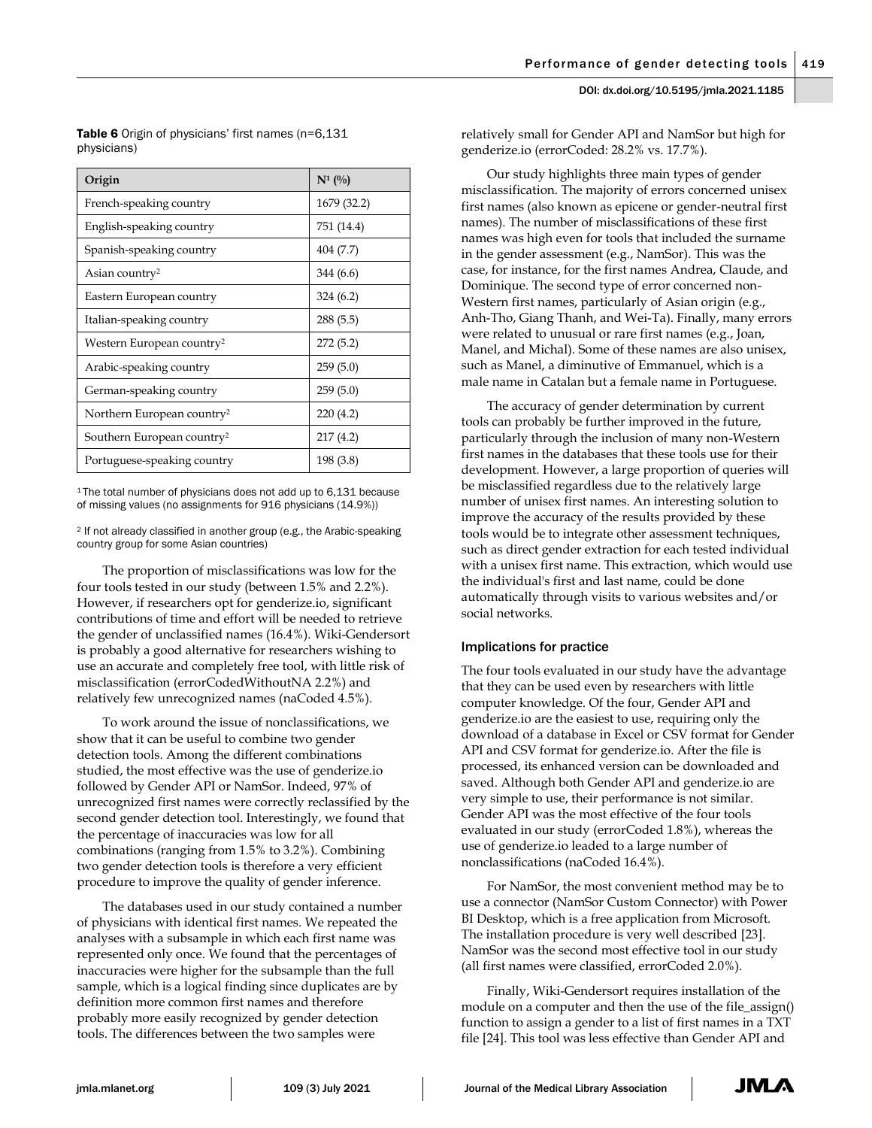Table 6 Origin of physicians' first names (n=6,131 physicians)

| Origin                                 | $N^1$ (%)   |
|----------------------------------------|-------------|
| French-speaking country                | 1679 (32.2) |
| English-speaking country               | 751 (14.4)  |
| Spanish-speaking country               | 404 (7.7)   |
| Asian country <sup>2</sup>             | 344 (6.6)   |
| Eastern European country               | 324(6.2)    |
| Italian-speaking country               | 288(5.5)    |
| Western European country <sup>2</sup>  | 272(5.2)    |
| Arabic-speaking country                | 259(5.0)    |
| German-speaking country                | 259(5.0)    |
| Northern European country <sup>2</sup> | 220(4.2)    |
| Southern European country <sup>2</sup> | 217 (4.2)   |
| Portuguese-speaking country            | 198 (3.8)   |

<sup>1</sup>The total number of physicians does not add up to 6,131 because of missing values (no assignments for 916 physicians (14.9%))

<sup>2</sup> If not already classified in another group (e.g., the Arabic-speaking country group for some Asian countries)

The proportion of misclassifications was low for the four tools tested in our study (between 1.5% and 2.2%). However, if researchers opt for genderize.io, significant contributions of time and effort will be needed to retrieve the gender of unclassified names (16.4%). Wiki-Gendersort is probably a good alternative for researchers wishing to use an accurate and completely free tool, with little risk of misclassification (errorCodedWithoutNA 2.2%) and relatively few unrecognized names (naCoded 4.5%).

To work around the issue of nonclassifications, we show that it can be useful to combine two gender detection tools. Among the different combinations studied, the most effective was the use of genderize.io followed by Gender API or NamSor. Indeed, 97% of unrecognized first names were correctly reclassified by the second gender detection tool. Interestingly, we found that the percentage of inaccuracies was low for all combinations (ranging from 1.5% to 3.2%). Combining two gender detection tools is therefore a very efficient procedure to improve the quality of gender inference.

The databases used in our study contained a number of physicians with identical first names. We repeated the analyses with a subsample in which each first name was represented only once. We found that the percentages of inaccuracies were higher for the subsample than the full sample, which is a logical finding since duplicates are by definition more common first names and therefore probably more easily recognized by gender detection tools. The differences between the two samples were

relatively small for Gender API and NamSor but high for genderize.io (errorCoded: 28.2% vs. 17.7%)*.*

Our study highlights three main types of gender misclassification. The majority of errors concerned unisex first names (also known as epicene or gender-neutral first names). The number of misclassifications of these first names was high even for tools that included the surname in the gender assessment (e.g., NamSor). This was the case, for instance, for the first names Andrea, Claude, and Dominique. The second type of error concerned non-Western first names, particularly of Asian origin (e.g., Anh-Tho, Giang Thanh, and Wei-Ta). Finally, many errors were related to unusual or rare first names (e.g., Joan, Manel, and Michal). Some of these names are also unisex, such as Manel, a diminutive of Emmanuel, which is a male name in Catalan but a female name in Portuguese.

The accuracy of gender determination by current tools can probably be further improved in the future, particularly through the inclusion of many non-Western first names in the databases that these tools use for their development. However, a large proportion of queries will be misclassified regardless due to the relatively large number of unisex first names. An interesting solution to improve the accuracy of the results provided by these tools would be to integrate other assessment techniques, such as direct gender extraction for each tested individual with a unisex first name. This extraction, which would use the individual's first and last name, could be done automatically through visits to various websites and/or social networks.

#### Implications for practice

The four tools evaluated in our study have the advantage that they can be used even by researchers with little computer knowledge. Of the four, Gender API and genderize.io are the easiest to use, requiring only the download of a database in Excel or CSV format for Gender API and CSV format for genderize.io. After the file is processed, its enhanced version can be downloaded and saved. Although both Gender API and genderize.io are very simple to use, their performance is not similar. Gender API was the most effective of the four tools evaluated in our study (errorCoded 1.8%), whereas the use of genderize.io leaded to a large number of nonclassifications (naCoded 16.4%).

For NamSor, the most convenient method may be to use a connector (NamSor Custom Connector) with Power BI Desktop, which is a free application from Microsoft. The installation procedure is very well described [23]. NamSor was the second most effective tool in our study (all first names were classified, errorCoded 2.0%).

Finally, Wiki-Gendersort requires installation of the module on a computer and then the use of the file\_assign() function to assign a gender to a list of first names in a TXT file [24]. This tool was less effective than Gender API and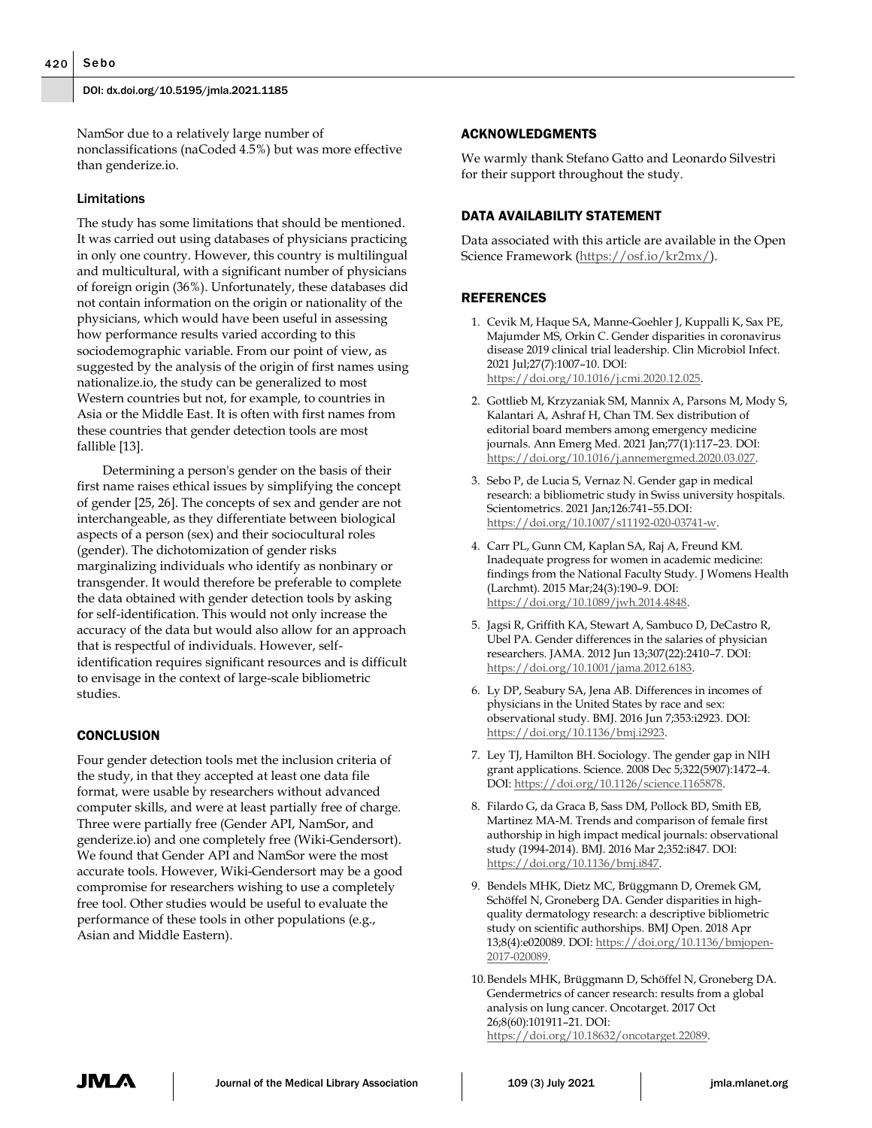NamSor due to a relatively large number of nonclassifications (naCoded 4.5%) but was more effective than genderize.io.

#### Limitations

The study has some limitations that should be mentioned. It was carried out using databases of physicians practicing in only one country. However, this country is multilingual and multicultural, with a significant number of physicians of foreign origin (36%). Unfortunately, these databases did not contain information on the origin or nationality of the physicians, which would have been useful in assessing how performance results varied according to this sociodemographic variable. From our point of view, as suggested by the analysis of the origin of first names using nationalize.io, the study can be generalized to most Western countries but not, for example, to countries in Asia or the Middle East. It is often with first names from these countries that gender detection tools are most fallible [13].

Determining a person's gender on the basis of their first name raises ethical issues by simplifying the concept of gender [25, 26]. The concepts of sex and gender are not interchangeable, as they differentiate between biological aspects of a person (sex) and their sociocultural roles (gender). The dichotomization of gender risks marginalizing individuals who identify as nonbinary or transgender. It would therefore be preferable to complete the data obtained with gender detection tools by asking for self-identification. This would not only increase the accuracy of the data but would also allow for an approach that is respectful of individuals. However, selfidentification requires significant resources and is difficult to envisage in the context of large-scale bibliometric studies.

#### **CONCLUSION**

Four gender detection tools met the inclusion criteria of the study, in that they accepted at least one data file format, were usable by researchers without advanced computer skills, and were at least partially free of charge. Three were partially free (Gender API, NamSor, and genderize.io) and one completely free (Wiki-Gendersort). We found that Gender API and NamSor were the most accurate tools. However, Wiki-Gendersort may be a good compromise for researchers wishing to use a completely free tool. Other studies would be useful to evaluate the performance of these tools in other populations (e.g., Asian and Middle Eastern).

#### ACKNOWLEDGMENTS

We warmly thank Stefano Gatto and Leonardo Silvestri for their support throughout the study.

#### DATA AVAILABILITY STATEMENT

Data associated with this article are available in the Open Science Framework [\(https://osf.io/kr2mx/\)](https://osf.io/kr2mx/).

#### REFERENCES

- 1. Cevik M, Haque SA, Manne-Goehler J, Kuppalli K, Sax PE, Majumder MS, Orkin C. Gender disparities in coronavirus disease 2019 clinical trial leadership. Clin Microbiol Infect. 2021 Jul;27(7):1007–10. DOI: https://doi.org/10.1016/j.cmi.2020.12.025.
- 2. Gottlieb M, Krzyzaniak SM, Mannix A, Parsons M, Mody S, Kalantari A, Ashraf H, Chan TM. Sex distribution of editorial board members among emergency medicine journals. Ann Emerg Med. 2021 Jan;77(1):117–23. DOI: https://doi.org/10.1016/j.annemergmed.2020.03.027.
- 3. Sebo P, de Lucia S, Vernaz N. Gender gap in medical research: a bibliometric study in Swiss university hospitals. Scientometrics. 2021 Jan;126:741–55.DOI: https://doi.org/10.1007/s11192-020-03741-w.
- 4. Carr PL, Gunn CM, Kaplan SA, Raj A, Freund KM. Inadequate progress for women in academic medicine: findings from the National Faculty Study. J Womens Health (Larchmt). 2015 Mar;24(3):190–9. DOI: https://doi.org/10.1089/jwh.2014.4848.
- 5. Jagsi R, Griffith KA, Stewart A, Sambuco D, DeCastro R, Ubel PA. Gender differences in the salaries of physician researchers. JAMA. 2012 Jun 13;307(22):2410–7. DOI: https://doi.org/10.1001/jama.2012.6183.
- 6. Ly DP, Seabury SA, Jena AB. Differences in incomes of physicians in the United States by race and sex: observational study. BMJ. 2016 Jun 7;353:i2923. DOI: https://doi.org/10.1136/bmj.i2923.
- 7. Ley TJ, Hamilton BH. Sociology. The gender gap in NIH grant applications. Science. 2008 Dec 5;322(5907):1472–4. DOI: https://doi.org/10.1126/science.1165878.
- 8. Filardo G, da Graca B, Sass DM, Pollock BD, Smith EB, Martinez MA-M. Trends and comparison of female first authorship in high impact medical journals: observational study (1994-2014). BMJ. 2016 Mar 2;352:i847. DOI: https://doi.org/10.1136/bmj.i847.
- 9. Bendels MHK, Dietz MC, Brüggmann D, Oremek GM, Schöffel N, Groneberg DA. Gender disparities in highquality dermatology research: a descriptive bibliometric study on scientific authorships. BMJ Open. 2018 Apr 13;8(4):e020089. DOI: https://doi.org/10.1136/bmjopen-2017-020089.
- 10.Bendels MHK, Brüggmann D, Schöffel N, Groneberg DA. Gendermetrics of cancer research: results from a global analysis on lung cancer. Oncotarget. 2017 Oct 26;8(60):101911–21. DOI: https://doi.org/10.18632/oncotarget.22089.